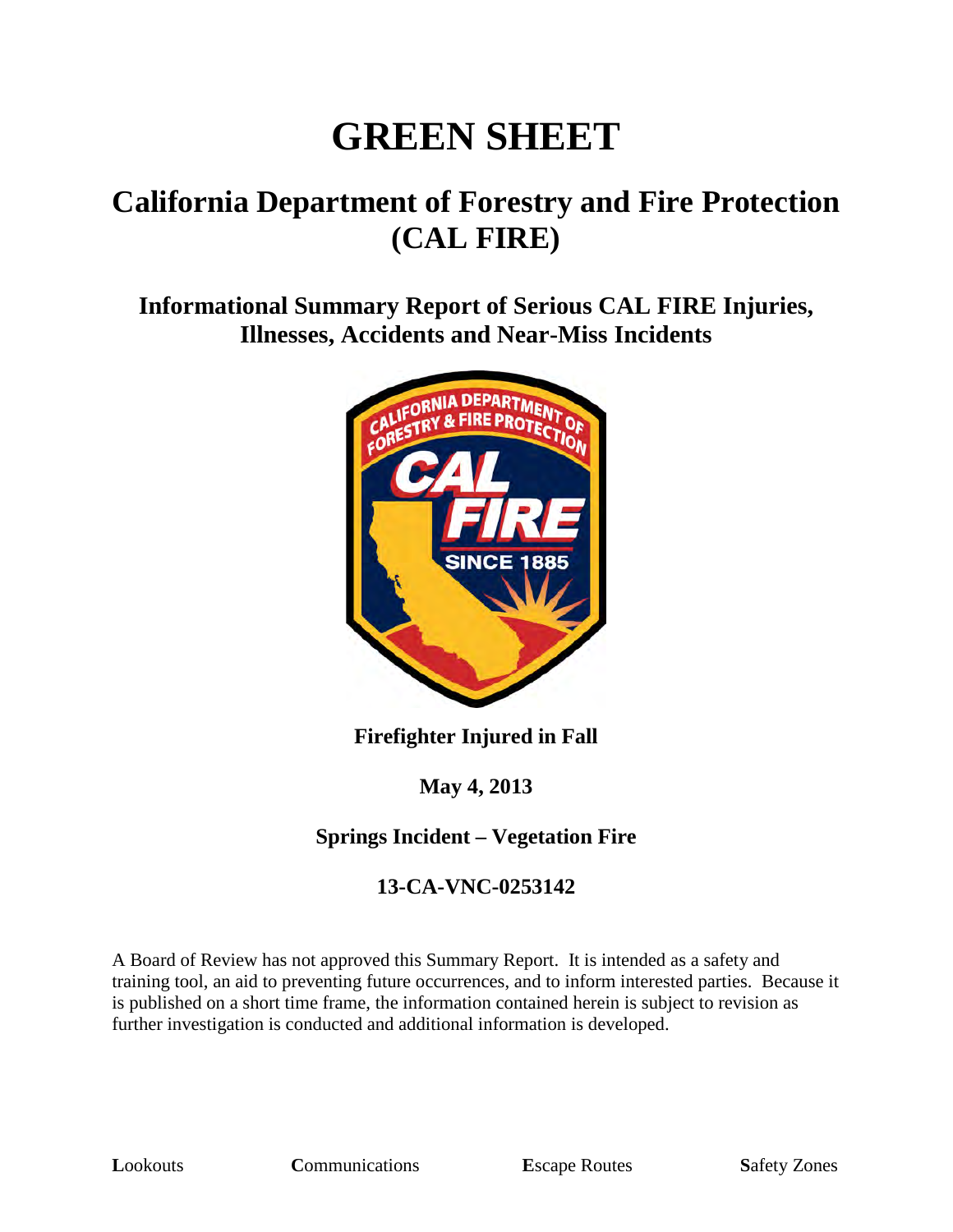# **GREEN SHEET**

## **California Department of Forestry and Fire Protection (CAL FIRE)**

**Informational Summary Report of Serious CAL FIRE Injuries, Illnesses, Accidents and Near-Miss Incidents**



**Firefighter Injured in Fall**

**May 4, 2013**

#### **Springs Incident – Vegetation Fire**

#### **13-CA-VNC-0253142**

A Board of Review has not approved this Summary Report. It is intended as a safety and training tool, an aid to preventing future occurrences, and to inform interested parties. Because it is published on a short time frame, the information contained herein is subject to revision as further investigation is conducted and additional information is developed.

**Lookouts Communications E**scape Routes **Safety Zones**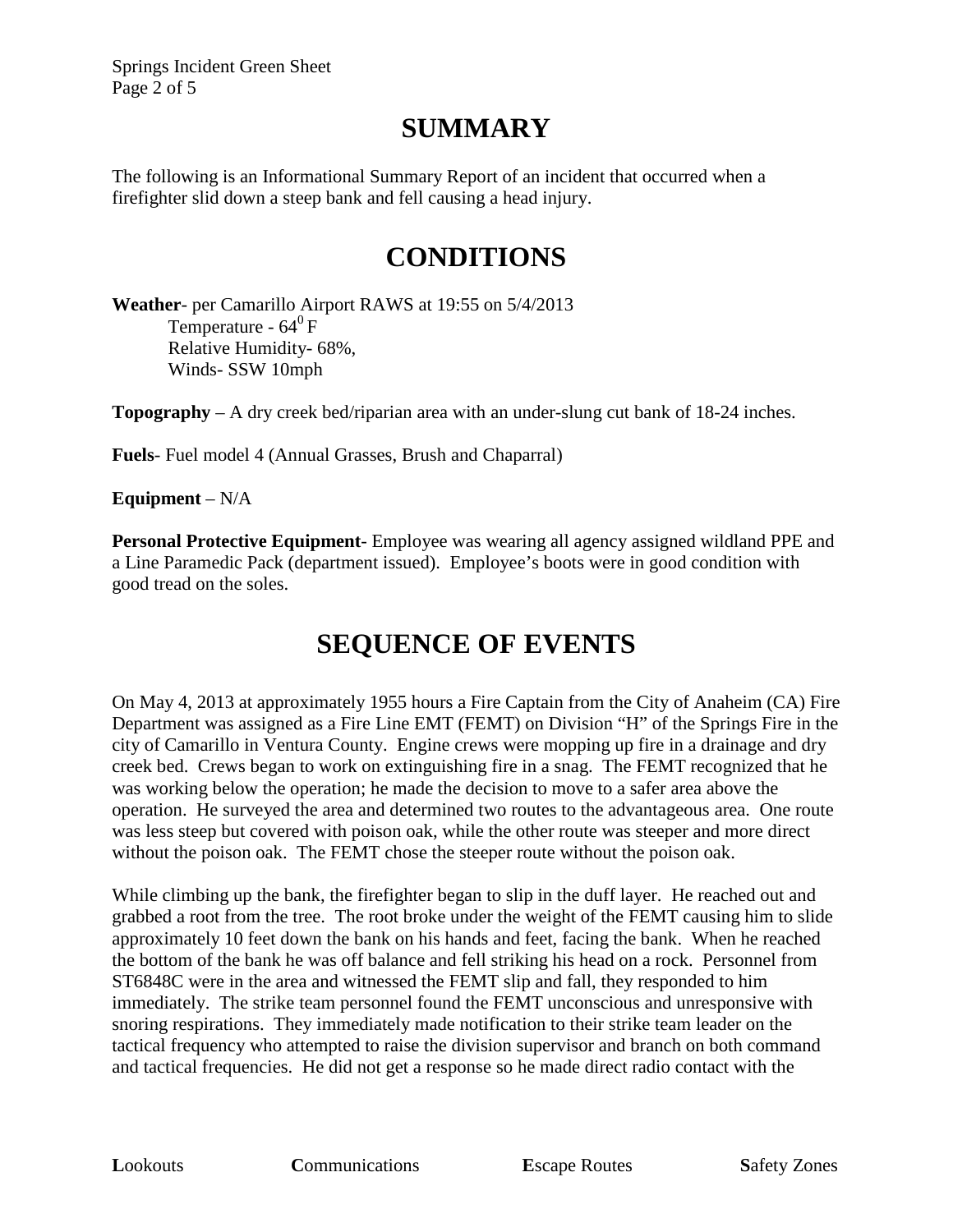Springs Incident Green Sheet Page 2 of 5

#### **SUMMARY**

The following is an Informational Summary Report of an incident that occurred when a firefighter slid down a steep bank and fell causing a head injury.

## **CONDITIONS**

**Weather**- per Camarillo Airport RAWS at 19:55 on 5/4/2013 Temperature -  $64^{\circ}$  F Relative Humidity- 68%, Winds- SSW 10mph

**Topography** – A dry creek bed/riparian area with an under-slung cut bank of 18-24 inches.

**Fuels**- Fuel model 4 (Annual Grasses, Brush and Chaparral)

**Equipment** – N/A

**Personal Protective Equipment**- Employee was wearing all agency assigned wildland PPE and a Line Paramedic Pack (department issued). Employee's boots were in good condition with good tread on the soles.

## **SEQUENCE OF EVENTS**

On May 4, 2013 at approximately 1955 hours a Fire Captain from the City of Anaheim (CA) Fire Department was assigned as a Fire Line EMT (FEMT) on Division "H" of the Springs Fire in the city of Camarillo in Ventura County. Engine crews were mopping up fire in a drainage and dry creek bed. Crews began to work on extinguishing fire in a snag. The FEMT recognized that he was working below the operation; he made the decision to move to a safer area above the operation. He surveyed the area and determined two routes to the advantageous area. One route was less steep but covered with poison oak, while the other route was steeper and more direct without the poison oak. The FEMT chose the steeper route without the poison oak.

While climbing up the bank, the firefighter began to slip in the duff layer. He reached out and grabbed a root from the tree. The root broke under the weight of the FEMT causing him to slide approximately 10 feet down the bank on his hands and feet, facing the bank. When he reached the bottom of the bank he was off balance and fell striking his head on a rock. Personnel from ST6848C were in the area and witnessed the FEMT slip and fall, they responded to him immediately. The strike team personnel found the FEMT unconscious and unresponsive with snoring respirations. They immediately made notification to their strike team leader on the tactical frequency who attempted to raise the division supervisor and branch on both command and tactical frequencies. He did not get a response so he made direct radio contact with the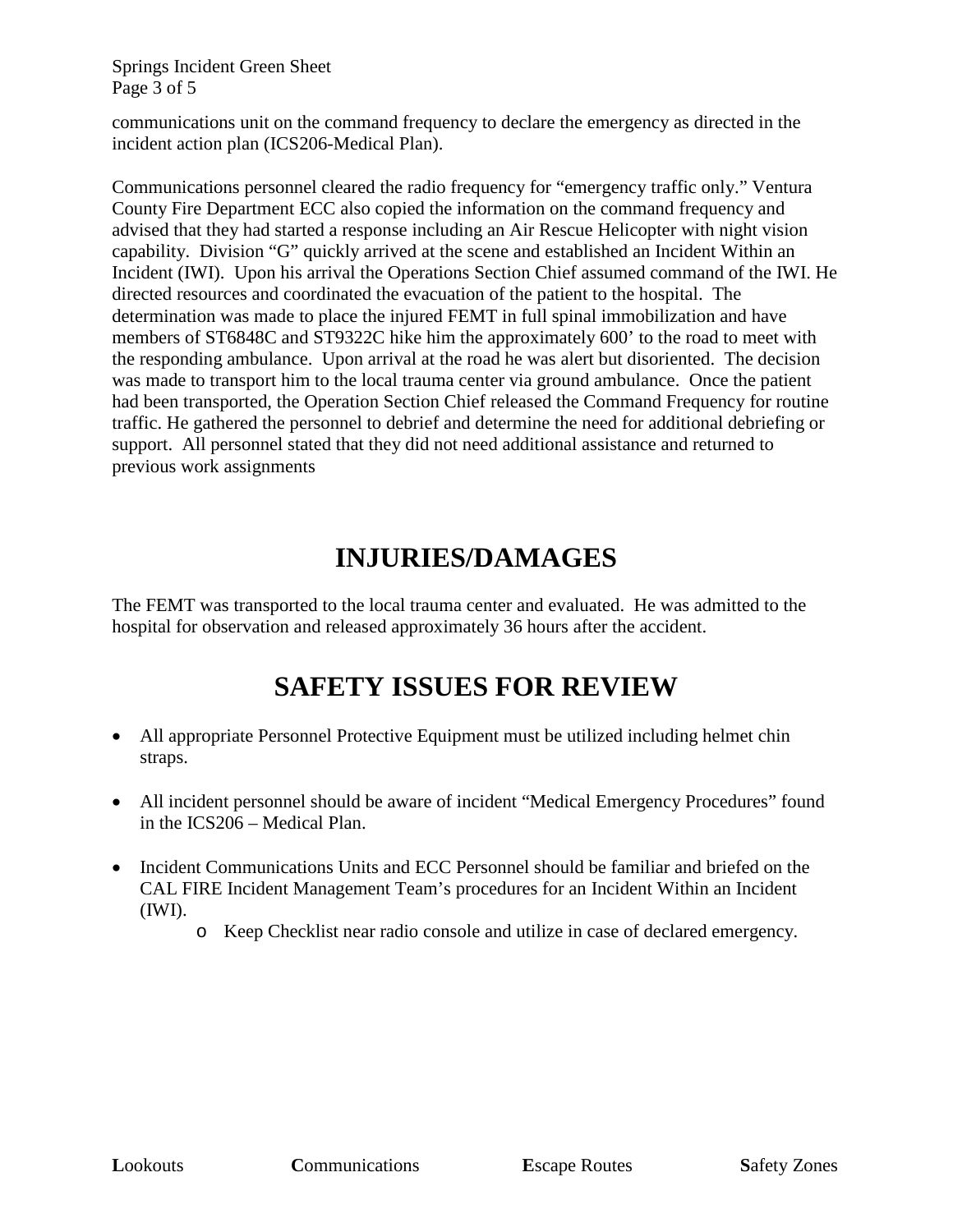Springs Incident Green Sheet Page 3 of 5

communications unit on the command frequency to declare the emergency as directed in the incident action plan (ICS206-Medical Plan).

Communications personnel cleared the radio frequency for "emergency traffic only." Ventura County Fire Department ECC also copied the information on the command frequency and advised that they had started a response including an Air Rescue Helicopter with night vision capability. Division "G" quickly arrived at the scene and established an Incident Within an Incident (IWI). Upon his arrival the Operations Section Chief assumed command of the IWI. He directed resources and coordinated the evacuation of the patient to the hospital. The determination was made to place the injured FEMT in full spinal immobilization and have members of ST6848C and ST9322C hike him the approximately 600' to the road to meet with the responding ambulance. Upon arrival at the road he was alert but disoriented. The decision was made to transport him to the local trauma center via ground ambulance. Once the patient had been transported, the Operation Section Chief released the Command Frequency for routine traffic. He gathered the personnel to debrief and determine the need for additional debriefing or support. All personnel stated that they did not need additional assistance and returned to previous work assignments

## **INJURIES/DAMAGES**

The FEMT was transported to the local trauma center and evaluated. He was admitted to the hospital for observation and released approximately 36 hours after the accident.

## **SAFETY ISSUES FOR REVIEW**

- All appropriate Personnel Protective Equipment must be utilized including helmet chin straps.
- All incident personnel should be aware of incident "Medical Emergency Procedures" found in the ICS206 – Medical Plan.
- Incident Communications Units and ECC Personnel should be familiar and briefed on the CAL FIRE Incident Management Team's procedures for an Incident Within an Incident (IWI).
	- o Keep Checklist near radio console and utilize in case of declared emergency.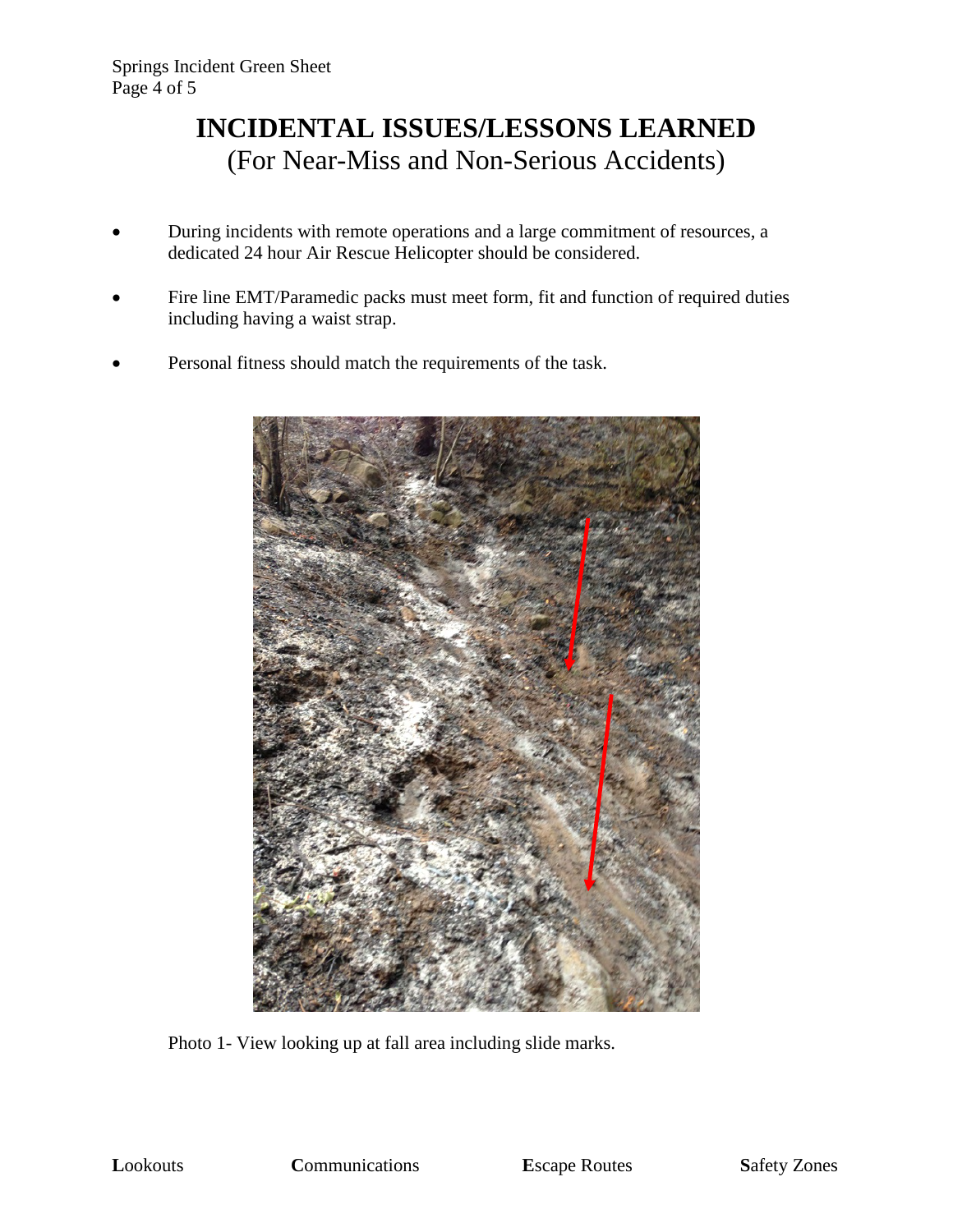#### **INCIDENTAL ISSUES/LESSONS LEARNED**  (For Near-Miss and Non-Serious Accidents)

- During incidents with remote operations and a large commitment of resources, a dedicated 24 hour Air Rescue Helicopter should be considered.
- Fire line EMT/Paramedic packs must meet form, fit and function of required duties including having a waist strap.
- Personal fitness should match the requirements of the task.



Photo 1- View looking up at fall area including slide marks.